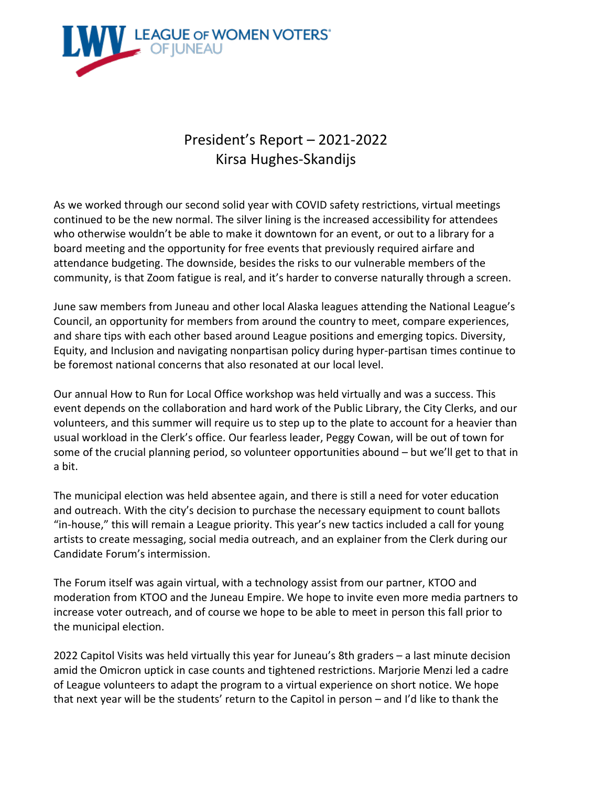

## President's Report – 2021-2022 Kirsa Hughes-Skandijs

As we worked through our second solid year with COVID safety restrictions, virtual meetings continued to be the new normal. The silver lining is the increased accessibility for attendees who otherwise wouldn't be able to make it downtown for an event, or out to a library for a board meeting and the opportunity for free events that previously required airfare and attendance budgeting. The downside, besides the risks to our vulnerable members of the community, is that Zoom fatigue is real, and it's harder to converse naturally through a screen.

June saw members from Juneau and other local Alaska leagues attending the National League's Council, an opportunity for members from around the country to meet, compare experiences, and share tips with each other based around League positions and emerging topics. Diversity, Equity, and Inclusion and navigating nonpartisan policy during hyper-partisan times continue to be foremost national concerns that also resonated at our local level.

Our annual How to Run for Local Office workshop was held virtually and was a success. This event depends on the collaboration and hard work of the Public Library, the City Clerks, and our volunteers, and this summer will require us to step up to the plate to account for a heavier than usual workload in the Clerk's office. Our fearless leader, Peggy Cowan, will be out of town for some of the crucial planning period, so volunteer opportunities abound – but we'll get to that in a bit.

The municipal election was held absentee again, and there is still a need for voter education and outreach. With the city's decision to purchase the necessary equipment to count ballots "in-house," this will remain a League priority. This year's new tactics included a call for young artists to create messaging, social media outreach, and an explainer from the Clerk during our Candidate Forum's intermission.

The Forum itself was again virtual, with a technology assist from our partner, KTOO and moderation from KTOO and the Juneau Empire. We hope to invite even more media partners to increase voter outreach, and of course we hope to be able to meet in person this fall prior to the municipal election.

2022 Capitol Visits was held virtually this year for Juneau's 8th graders – a last minute decision amid the Omicron uptick in case counts and tightened restrictions. Marjorie Menzi led a cadre of League volunteers to adapt the program to a virtual experience on short notice. We hope that next year will be the students' return to the Capitol in person – and I'd like to thank the